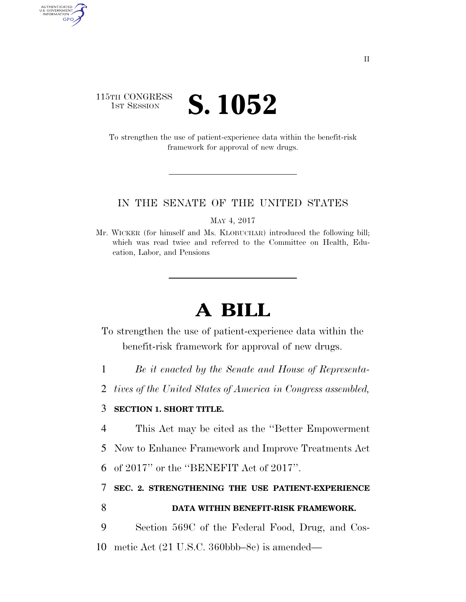## 115TH CONGRESS **1ST SESSION S. 1052**

AUTHENTICATED<br>U.S. GOVERNMENT<br>INFORMATION GPO

> To strengthen the use of patient-experience data within the benefit-risk framework for approval of new drugs.

## IN THE SENATE OF THE UNITED STATES

MAY 4, 2017

Mr. WICKER (for himself and Ms. KLOBUCHAR) introduced the following bill; which was read twice and referred to the Committee on Health, Education, Labor, and Pensions

## **A BILL**

To strengthen the use of patient-experience data within the benefit-risk framework for approval of new drugs.

1 *Be it enacted by the Senate and House of Representa-*

2 *tives of the United States of America in Congress assembled,* 

## 3 **SECTION 1. SHORT TITLE.**

4 This Act may be cited as the ''Better Empowerment

5 Now to Enhance Framework and Improve Treatments Act

6 of 2017'' or the ''BENEFIT Act of 2017''.

7 **SEC. 2. STRENGTHENING THE USE PATIENT-EXPERIENCE**  8 **DATA WITHIN BENEFIT-RISK FRAMEWORK.** 

9 Section 569C of the Federal Food, Drug, and Cos-10 metic Act (21 U.S.C. 360bbb–8c) is amended—